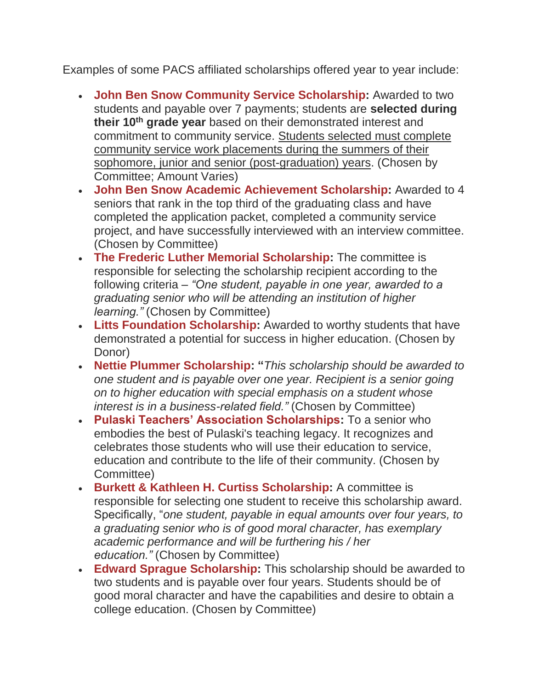Examples of some PACS affiliated scholarships offered year to year include:

- **John Ben Snow Community Service Scholarship:** Awarded to two students and payable over 7 payments; students are **selected during their 10th grade year** based on their demonstrated interest and commitment to community service. Students selected must complete community service work placements during the summers of their sophomore, junior and senior (post-graduation) years. (Chosen by Committee; Amount Varies)
- **John Ben Snow Academic Achievement Scholarship:** Awarded to 4 seniors that rank in the top third of the graduating class and have completed the application packet, completed a community service project, and have successfully interviewed with an interview committee. (Chosen by Committee)
- **The Frederic Luther Memorial Scholarship:** The committee is responsible for selecting the scholarship recipient according to the following criteria – *"One student, payable in one year, awarded to a graduating senior who will be attending an institution of higher learning."* (Chosen by Committee)
- **Litts Foundation Scholarship:** Awarded to worthy students that have demonstrated a potential for success in higher education. (Chosen by Donor)
- **Nettie Plummer Scholarship: "***This scholarship should be awarded to one student and is payable over one year. Recipient is a senior going on to higher education with special emphasis on a student whose interest is in a business-related field."* (Chosen by Committee)
- **Pulaski Teachers' Association Scholarships:** To a senior who embodies the best of Pulaski's teaching legacy. It recognizes and celebrates those students who will use their education to service, education and contribute to the life of their community. (Chosen by Committee)
- **Burkett & Kathleen H. Curtiss Scholarship:** A committee is responsible for selecting one student to receive this scholarship award. Specifically, "*one student, payable in equal amounts over four years, to a graduating senior who is of good moral character, has exemplary academic performance and will be furthering his / her education."* (Chosen by Committee)
- **Edward Sprague Scholarship:** This scholarship should be awarded to two students and is payable over four years. Students should be of good moral character and have the capabilities and desire to obtain a college education. (Chosen by Committee)